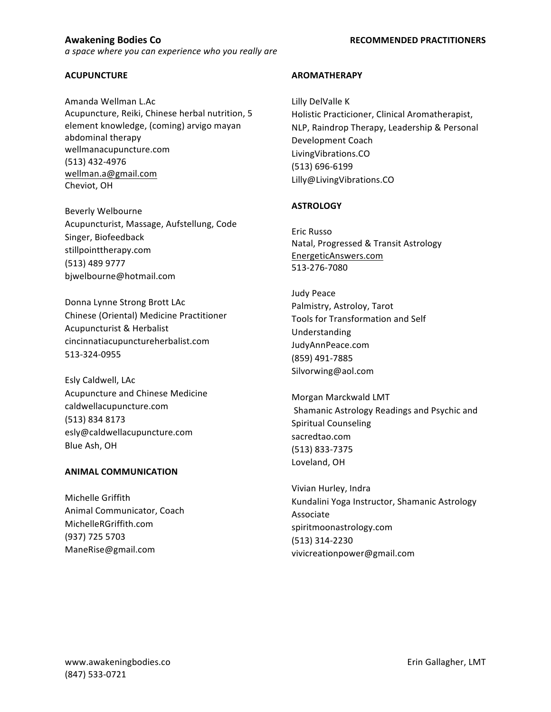### **ACUPUNCTURE**

Amanda Wellman L.Ac Acupuncture, Reiki, Chinese herbal nutrition, 5 element knowledge, (coming) arvigo mayan abdominal therapy wellmanacupuncture.com (513) 432-4976 wellman.a@gmail.com Cheviot, OH

Beverly Welbourne Acupuncturist, Massage, Aufstellung, Code Singer, Biofeedback stillpointtherapy.com (513) 489 9777 bjwelbourne@hotmail.com

Donna Lynne Strong Brott LAc Chinese (Oriental) Medicine Practitioner Acupuncturist & Herbalist cincinnatiacupunctureherbalist.com 513-324-0955

Esly Caldwell, LAc Acupuncture and Chinese Medicine caldwellacupuncture.com (513) 834 8173 esly@caldwellacupuncture.com Blue Ash, OH

## **ANIMAL COMMUNICATION**

Michelle Griffith Animal Communicator, Coach MichelleRGriffith.com (937) 725 5703 ManeRise@gmail.com

### **AROMATHERAPY**

Lilly DelValle K Holistic Practicioner, Clinical Aromatherapist, NLP, Raindrop Therapy, Leadership & Personal Development Coach LivingVibrations.CO (513) 696-6199 Lilly@LivingVibrations.CO

### **ASTROLOGY**

Eric Russo Natal, Progressed & Transit Astrology EnergeticAnswers.com 513-276-7080

Judy Peace Palmistry, Astroloy, Tarot Tools for Transformation and Self Understanding JudyAnnPeace.com (859) 491-7885 Silvorwing@aol.com

Morgan Marckwald LMT Shamanic Astrology Readings and Psychic and Spiritual Counseling sacredtao.com (513) 833-7375 Loveland, OH

Vivian Hurley, Indra Kundalini Yoga Instructor, Shamanic Astrology Associate spiritmoonastrology.com (513) 314-2230 vivicreationpower@gmail.com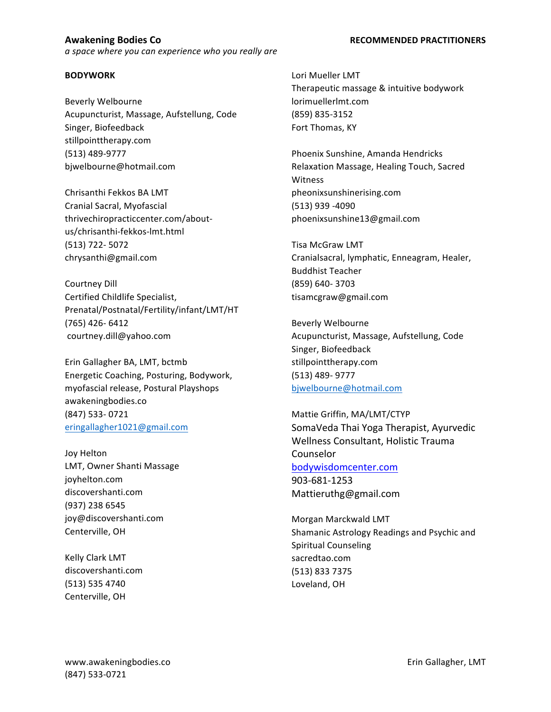### **BODYWORK**

Beverly Welbourne Acupuncturist, Massage, Aufstellung, Code Singer, Biofeedback stillpointtherapy.com (513) 489-9777 bjwelbourne@hotmail.com

Chrisanthi Fekkos BA LMT Cranial Sacral, Myofascial thrivechiropracticcenter.com/aboutus/chrisanthi-fekkos-lmt.html (513) 722- 5072 chrysanthi@gmail.com

Courtney Dill Certified Childlife Specialist, Prenatal/Postnatal/Fertility/infant/LMT/HT (765) 426- 6412 courtney.dill@yahoo.com

Erin Gallagher BA, LMT, bctmb Energetic Coaching, Posturing, Bodywork, myofascial release, Postural Playshops awakeningbodies.co (847) 533- 0721 eringallagher1021@gmail.com

Joy Helton LMT, Owner Shanti Massage joyhelton.com discovershanti.com (937) 238 6545 joy@discovershanti.com Centerville, OH

Kelly Clark LMT discovershanti.com (513) 535 4740 Centerville, OH

Lori Mueller LMT Therapeutic massage & intuitive bodywork lorimuellerlmt.com (859) 835-3152

Fort Thomas, KY Phoenix Sunshine, Amanda Hendricks Relaxation Massage, Healing Touch, Sacred Witness pheonixsunshinerising.com (513) 939 -4090 phoenixsunshine13@gmail.com

Tisa McGraw LMT Cranialsacral, lymphatic, Enneagram, Healer, Buddhist Teacher (859) 640- 3703 tisamcgraw@gmail.com

Beverly Welbourne Acupuncturist, Massage, Aufstellung, Code Singer, Biofeedback stillpointtherapy.com (513) 489- 9777 bjwelbourne@hotmail.com

Mattie Griffin, MA/LMT/CTYP SomaVeda Thai Yoga Therapist, Ayurvedic Wellness Consultant, Holistic Trauma Counselor bodywisdomcenter.com 903-681-1253 Mattieruthg@gmail.com 

Morgan Marckwald LMT Shamanic Astrology Readings and Psychic and Spiritual Counseling sacredtao.com (513) 833 7375 Loveland, OH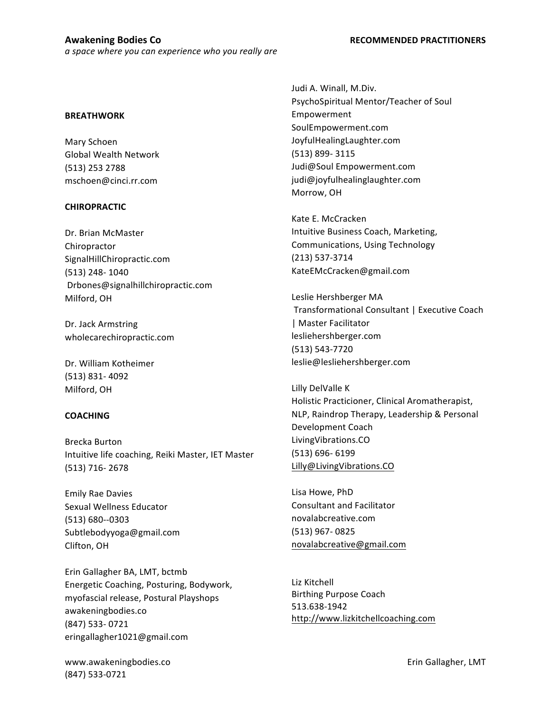### **BREATHWORK**

Mary Schoen Global Wealth Network (513) 253 2788 mschoen@cinci.rr.com

### **CHIROPRACTIC**

Dr. Brian McMaster Chiropractor SignalHillChiropractic.com (513) 248- 1040 Drbones@signalhillchiropractic.com Milford, OH

Dr. Jack Armstring wholecarechiropractic.com

Dr. William Kotheimer (513) 831- 4092 Milford, OH

## **COACHING**

Brecka Burton Intuitive life coaching, Reiki Master, IET Master (513) 716- 2678

Emily Rae Davies Sexual Wellness Educator (513) 680--0303 Subtlebodyyoga@gmail.com Clifton, OH

Erin Gallagher BA, LMT, bctmb Energetic Coaching, Posturing, Bodywork, myofascial release, Postural Playshops awakeningbodies.co (847) 533- 0721 eringallagher1021@gmail.com

www.awakeningbodies.co example and the settlement of the settlement of the settlement of the settlement of the settlement of the settlement of the settlement of the settlement of the settlement of the settlement of the set (847) 533-0721

Judi A. Winall, M.Div. PsychoSpiritual Mentor/Teacher of Soul Empowerment SoulEmpowerment.com JoyfulHealingLaughter.com (513) 899- 3115 Judi@Soul Empowerment.com judi@joyfulhealinglaughter.com Morrow, OH

Kate E. McCracken Intuitive Business Coach, Marketing, Communications, Using Technology (213) 537-3714 KateEMcCracken@gmail.com

Leslie Hershberger MA Transformational Consultant | Executive Coach | Master Facilitator lesliehershberger.com (513) 543-7720 leslie@lesliehershberger.com

Lilly DelValle K Holistic Practicioner, Clinical Aromatherapist, NLP, Raindrop Therapy, Leadership & Personal Development Coach LivingVibrations.CO (513) 696- 6199 Lilly@LivingVibrations.CO

Lisa Howe, PhD Consultant and Facilitator novalabcreative.com (513) 967- 0825 novalabcreative@gmail.com

Liz Kitchell **Birthing Purpose Coach** 513.638-1942 http://www.lizkitchellcoaching.com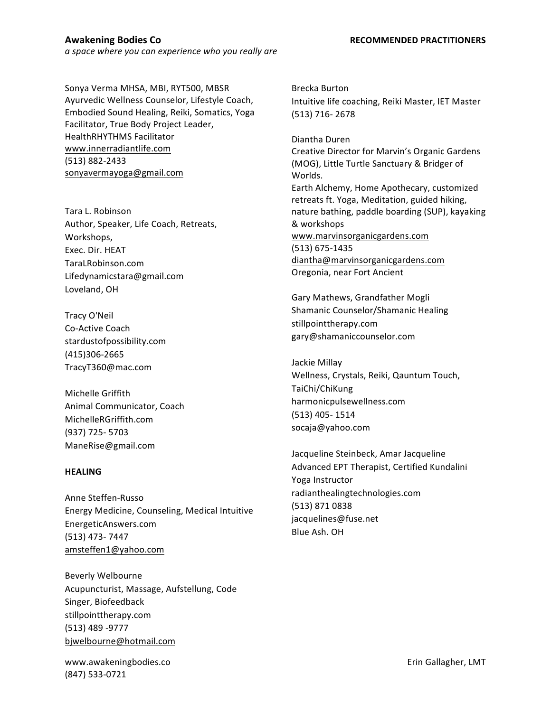Sonya Verma MHSA, MBI, RYT500, MBSR Ayurvedic Wellness Counselor, Lifestyle Coach, Embodied Sound Healing, Reiki, Somatics, Yoga Facilitator, True Body Project Leader, HealthRHYTHMS Facilitator www.innerradiantlife.com (513) 882-2433 sonyavermayoga@gmail.com

Tara L. Robinson Author, Speaker, Life Coach, Retreats, Workshops, Exec. Dir. HEAT TaraLRobinson.com Lifedynamicstara@gmail.com Loveland, OH

Tracy O'Neil Co-Active Coach stardustofpossibility.com (415)306-2665 TracyT360@mac.com

Michelle Griffith Animal Communicator, Coach MichelleRGriffith.com (937) 725- 5703 ManeRise@gmail.com

### **HEALING**

Anne Steffen-Russo Energy Medicine, Counseling, Medical Intuitive EnergeticAnswers.com (513) 473- 7447 amsteffen1@yahoo.com

Beverly Welbourne Acupuncturist, Massage, Aufstellung, Code Singer, Biofeedback stillpointtherapy.com (513) 489 -9777 bjwelbourne@hotmail.com

www.awakeningbodies.co entitled that the set of the set of the Erin Gallagher, LMT (847) 533-0721

Brecka Burton Intuitive life coaching, Reiki Master, IET Master (513) 716- 2678

Diantha Duren Creative Director for Marvin's Organic Gardens (MOG), Little Turtle Sanctuary & Bridger of Worlds. Earth Alchemy, Home Apothecary, customized retreats ft. Yoga, Meditation, guided hiking, nature bathing, paddle boarding (SUP), kayaking & workshops www.marvinsorganicgardens.com (513) 675-1435 diantha@marvinsorganicgardens.com Oregonia, near Fort Ancient

Gary Mathews, Grandfather Mogli Shamanic Counselor/Shamanic Healing stillpointtherapy.com gary@shamaniccounselor.com

Jackie Millay Wellness, Crystals, Reiki, Qauntum Touch, TaiChi/ChiKung harmonicpulsewellness.com (513) 405- 1514 socaja@yahoo.com

Jacqueline Steinbeck, Amar Jacqueline Advanced EPT Therapist, Certified Kundalini Yoga Instructor radianthealingtechnologies.com (513) 871 0838 jacquelines@fuse.net Blue Ash. OH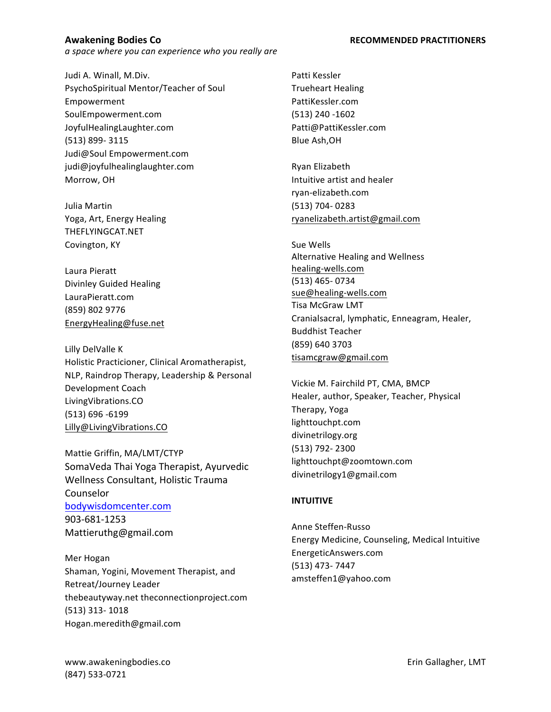Judi A. Winall, M.Div. PsychoSpiritual Mentor/Teacher of Soul Empowerment SoulEmpowerment.com JoyfulHealingLaughter.com (513) 899- 3115 Judi@Soul Empowerment.com judi@joyfulhealinglaughter.com Morrow, OH

Julia Martin Yoga, Art, Energy Healing THEFLYINGCAT.NET Covington, KY

Laura Pieratt Divinley Guided Healing LauraPieratt.com (859) 802 9776 EnergyHealing@fuse.net

Lilly DelValle K Holistic Practicioner, Clinical Aromatherapist, NLP, Raindrop Therapy, Leadership & Personal Development Coach LivingVibrations.CO (513) 696 -6199 Lilly@LivingVibrations.CO

Mattie Griffin, MA/LMT/CTYP SomaVeda Thai Yoga Therapist, Ayurvedic Wellness Consultant, Holistic Trauma Counselor bodywisdomcenter.com 903-681-1253 Mattieruthg@gmail.com 

Mer Hogan Shaman, Yogini, Movement Therapist, and Retreat/Journey Leader thebeautyway.net theconnectionproject.com (513) 313- 1018 Hogan.meredith@gmail.com

Patti Kessler **Trueheart Healing** PattiKessler.com (513) 240 -1602 Patti@PattiKessler.com Blue Ash,OH

Ryan Elizabeth Intuitive artist and healer ryan-elizabeth.com (513) 704- 0283 ryanelizabeth.artist@gmail.com

Sue Wells Alternative Healing and Wellness healing-wells.com (513) 465- 0734 sue@healing-wells.com Tisa McGraw LMT Cranialsacral, lymphatic, Enneagram, Healer, Buddhist Teacher (859) 640 3703 tisamcgraw@gmail.com

Vickie M. Fairchild PT, CMA, BMCP Healer, author, Speaker, Teacher, Physical Therapy, Yoga lighttouchpt.com divinetrilogy.org (513) 792- 2300 lighttouchpt@zoomtown.com divinetrilogy1@gmail.com

## **INTUITIVE**

Anne Steffen-Russo Energy Medicine, Counseling, Medical Intuitive EnergeticAnswers.com (513) 473- 7447 amsteffen1@yahoo.com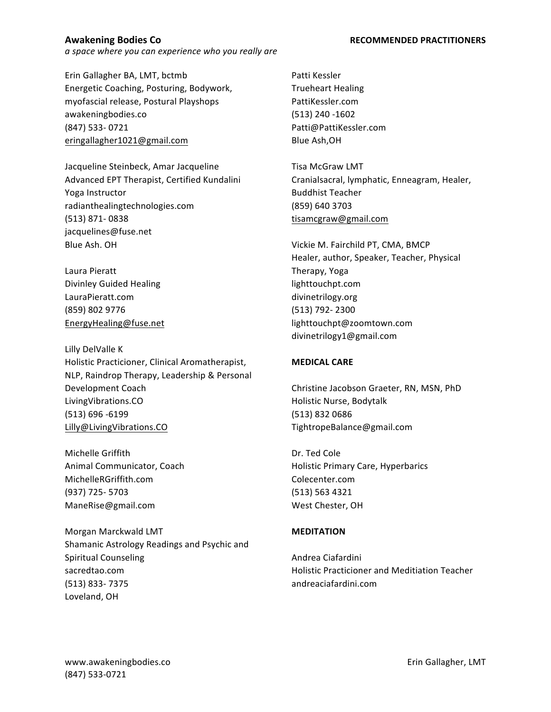Erin Gallagher BA, LMT, bctmb Energetic Coaching, Posturing, Bodywork, myofascial release, Postural Playshops awakeningbodies.co (847) 533- 0721 eringallagher1021@gmail.com

Jacqueline Steinbeck, Amar Jacqueline Advanced EPT Therapist, Certified Kundalini Yoga Instructor radianthealingtechnologies.com (513) 871- 0838 jacquelines@fuse.net Blue Ash. OH

Laura Pieratt Divinley Guided Healing LauraPieratt.com (859) 802 9776 EnergyHealing@fuse.net

Lilly DelValle K Holistic Practicioner, Clinical Aromatherapist, NLP, Raindrop Therapy, Leadership & Personal Development Coach LivingVibrations.CO (513) 696 -6199 Lilly@LivingVibrations.CO

Michelle Griffith Animal Communicator, Coach MichelleRGriffith.com (937) 725- 5703 ManeRise@gmail.com

Morgan Marckwald LMT Shamanic Astrology Readings and Psychic and Spiritual Counseling sacredtao.com (513) 833- 7375 Loveland, OH

Patti Kessler Trueheart Healing PattiKessler.com (513) 240 -1602 Patti@PattiKessler.com Blue Ash,OH

Tisa McGraw LMT Cranialsacral, lymphatic, Enneagram, Healer, Buddhist Teacher (859) 640 3703 tisamcgraw@gmail.com

Vickie M. Fairchild PT, CMA, BMCP Healer, author, Speaker, Teacher, Physical Therapy, Yoga lighttouchpt.com divinetrilogy.org (513) 792- 2300 lighttouchpt@zoomtown.com divinetrilogy1@gmail.com

## **MEDICAL CARE**

Christine Jacobson Graeter, RN, MSN, PhD Holistic Nurse, Bodytalk (513) 832 0686 TightropeBalance@gmail.com

Dr. Ted Cole Holistic Primary Care, Hyperbarics Colecenter.com (513) 563 4321 West Chester, OH

## **MEDITATION**

Andrea Ciafardini Holistic Practicioner and Meditiation Teacher andreaciafardini.com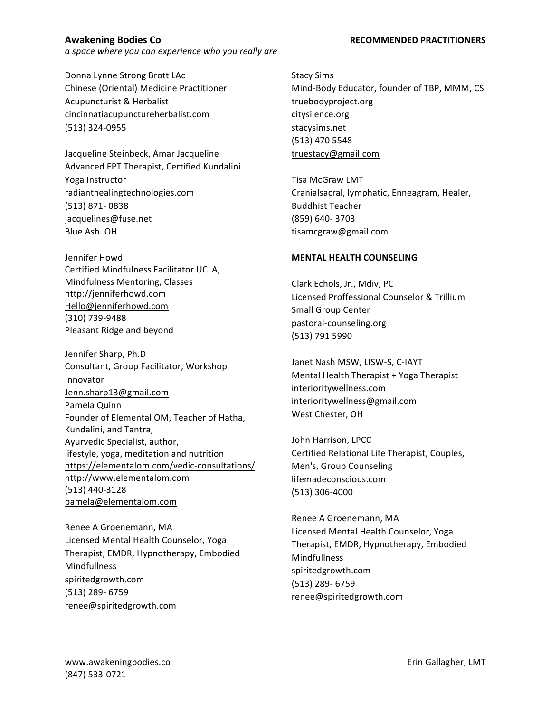Donna Lynne Strong Brott LAc Chinese (Oriental) Medicine Practitioner Acupuncturist & Herbalist cincinnatiacupunctureherbalist.com (513) 324-0955

Jacqueline Steinbeck, Amar Jacqueline Advanced EPT Therapist, Certified Kundalini Yoga Instructor radianthealingtechnologies.com (513) 871- 0838 jacquelines@fuse.net Blue Ash. OH

Jennifer Howd Certified Mindfulness Facilitator UCLA, Mindfulness Mentoring, Classes http://jenniferhowd.com Hello@jenniferhowd.com (310) 739-9488 Pleasant Ridge and beyond

Jennifer Sharp, Ph.D Consultant, Group Facilitator, Workshop Innovator Jenn.sharp13@gmail.com Pamela Quinn Founder of Elemental OM, Teacher of Hatha, Kundalini, and Tantra, Ayurvedic Specialist, author, lifestyle, yoga, meditation and nutrition https://elementalom.com/vedic-consultations/ http://www.elementalom.com (513) 440-3128 pamela@elementalom.com

Renee A Groenemann, MA Licensed Mental Health Counselor, Yoga Therapist, EMDR, Hypnotherapy, Embodied Mindfullness spiritedgrowth.com (513) 289- 6759 renee@spiritedgrowth.com

Stacy Sims Mind-Body Educator, founder of TBP, MMM, CS truebodyproject.org citysilence.org stacysims.net (513) 470 5548 truestacy@gmail.com

Tisa McGraw LMT Cranialsacral, lymphatic, Enneagram, Healer, Buddhist Teacher (859) 640- 3703 tisamcgraw@gmail.com

# **MENTAL HEALTH COUNSELING**

Clark Echols, Jr., Mdiv, PC Licensed Proffessional Counselor & Trillium Small Group Center pastoral-counseling.org (513) 791 5990

Janet Nash MSW, LISW-S, C-IAYT Mental Health Therapist + Yoga Therapist interioritywellness.com interioritywellness@gmail.com West Chester, OH

John Harrison, LPCC Certified Relational Life Therapist, Couples, Men's, Group Counseling lifemadeconscious.com (513) 306-4000

Renee A Groenemann, MA Licensed Mental Health Counselor, Yoga Therapist, EMDR, Hypnotherapy, Embodied Mindfullness spiritedgrowth.com (513) 289- 6759 renee@spiritedgrowth.com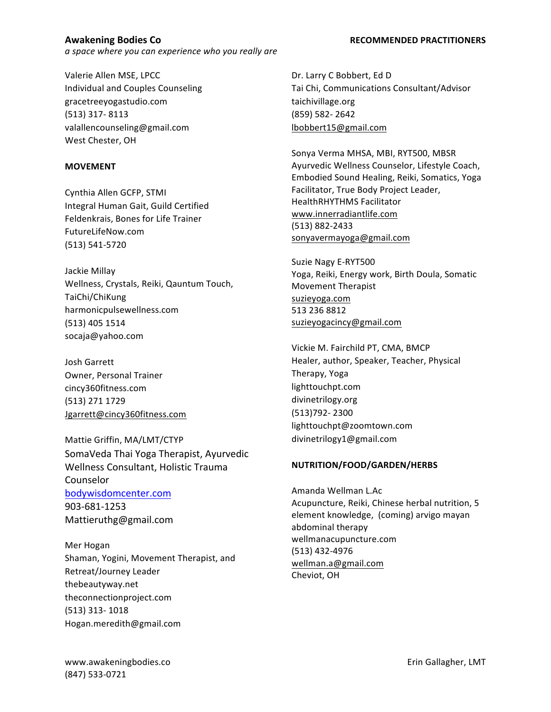Valerie Allen MSE, LPCC Individual and Couples Counseling gracetreeyogastudio.com (513) 317- 8113 valallencounseling@gmail.com West Chester, OH

### **MOVEMENT**

Cynthia Allen GCFP, STMI Integral Human Gait, Guild Certified Feldenkrais, Bones for Life Trainer FutureLifeNow.com (513) 541-5720

Jackie Millay Wellness, Crystals, Reiki, Qauntum Touch, TaiChi/ChiKung harmonicpulsewellness.com (513) 405 1514 socaja@yahoo.com

Josh Garrett Owner, Personal Trainer cincy360fitness.com (513) 271 1729 Jgarrett@cincy360fitness.com

Mattie Griffin, MA/LMT/CTYP SomaVeda Thai Yoga Therapist, Ayurvedic Wellness Consultant, Holistic Trauma Counselor bodywisdomcenter.com 903-681-1253 Mattieruthg@gmail.com 

Mer Hogan Shaman, Yogini, Movement Therapist, and Retreat/Journey Leader thebeautyway.net theconnectionproject.com (513) 313- 1018 Hogan.meredith@gmail.com

Dr. Larry C Bobbert, Ed D Tai Chi, Communications Consultant/Advisor taichivillage.org (859) 582- 2642 lbobbert15@gmail.com

Sonya Verma MHSA, MBI, RYT500, MBSR Ayurvedic Wellness Counselor, Lifestyle Coach, Embodied Sound Healing, Reiki, Somatics, Yoga Facilitator, True Body Project Leader, HealthRHYTHMS Facilitator www.innerradiantlife.com (513) 882-2433 sonyavermayoga@gmail.com

Suzie Nagy E-RYT500 Yoga, Reiki, Energy work, Birth Doula, Somatic Movement Therapist suzieyoga.com 513 236 8812 suzieyogacincy@gmail.com

Vickie M. Fairchild PT, CMA, BMCP Healer, author, Speaker, Teacher, Physical Therapy, Yoga lighttouchpt.com divinetrilogy.org (513)792- 2300 lighttouchpt@zoomtown.com divinetrilogy1@gmail.com

## **NUTRITION/FOOD/GARDEN/HERBS**

Amanda Wellman L.Ac Acupuncture, Reiki, Chinese herbal nutrition, 5 element knowledge, (coming) arvigo mayan abdominal therapy wellmanacupuncture.com (513) 432-4976 wellman.a@gmail.com Cheviot, OH

### **Awakening Bodies Co RECOMMENDED PRACTITIONERS**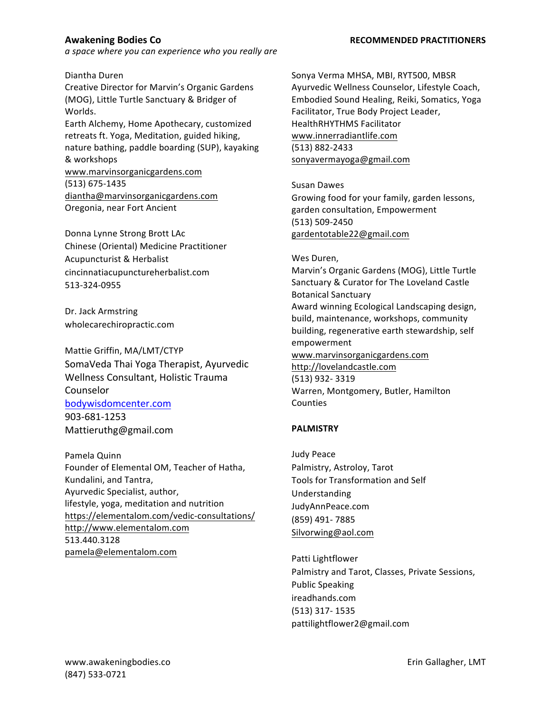Diantha Duren

Creative Director for Marvin's Organic Gardens (MOG), Little Turtle Sanctuary & Bridger of Worlds. 

Earth Alchemy, Home Apothecary, customized retreats ft. Yoga, Meditation, guided hiking, nature bathing, paddle boarding (SUP), kayaking & workshops

www.marvinsorganicgardens.com (513) 675-1435 diantha@marvinsorganicgardens.com Oregonia, near Fort Ancient

Donna Lynne Strong Brott LAc Chinese (Oriental) Medicine Practitioner Acupuncturist & Herbalist cincinnatiacupunctureherbalist.com 513-324-0955

Dr. Jack Armstring wholecarechiropractic.com

Mattie Griffin, MA/LMT/CTYP SomaVeda Thai Yoga Therapist, Ayurvedic Wellness Consultant, Holistic Trauma Counselor bodywisdomcenter.com 903-681-1253 Mattieruthg@gmail.com 

Pamela Quinn Founder of Elemental OM, Teacher of Hatha, Kundalini, and Tantra, Ayurvedic Specialist, author, lifestyle, yoga, meditation and nutrition https://elementalom.com/vedic-consultations/ http://www.elementalom.com 513.440.3128 pamela@elementalom.com

Sonya Verma MHSA, MBI, RYT500, MBSR Ayurvedic Wellness Counselor, Lifestyle Coach, Embodied Sound Healing, Reiki, Somatics, Yoga Facilitator, True Body Project Leader, HealthRHYTHMS Facilitator www.innerradiantlife.com (513) 882-2433 sonyavermayoga@gmail.com

Susan Dawes Growing food for your family, garden lessons, garden consultation, Empowerment (513) 509-2450 gardentotable22@gmail.com

Wes Duren, Marvin's Organic Gardens (MOG), Little Turtle Sanctuary & Curator for The Loveland Castle Botanical Sanctuary Award winning Ecological Landscaping design, build, maintenance, workshops, community building, regenerative earth stewardship, self empowerment www.marvinsorganicgardens.com http://lovelandcastle.com (513) 932- 3319 Warren, Montgomery, Butler, Hamilton Counties

## **PALMISTRY**

Judy Peace Palmistry, Astroloy, Tarot Tools for Transformation and Self Understanding JudyAnnPeace.com (859) 491- 7885 Silvorwing@aol.com

Patti Lightflower Palmistry and Tarot, Classes, Private Sessions, Public Speaking ireadhands.com (513) 317- 1535 pattilightflower2@gmail.com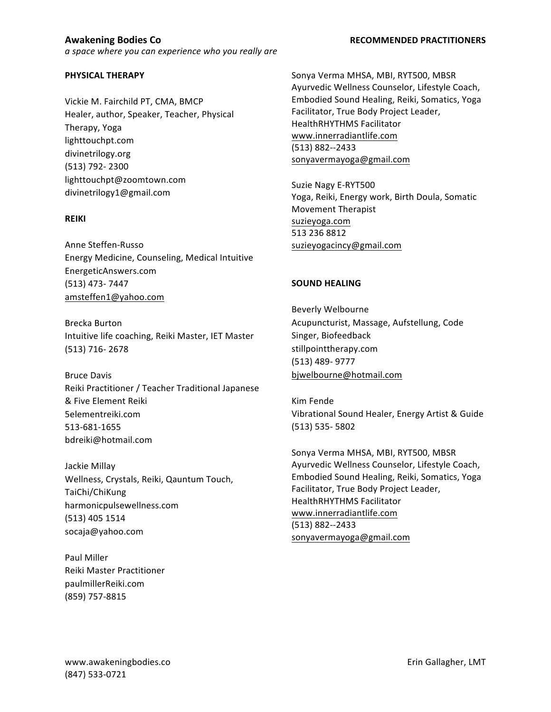## **PHYSICAL THERAPY**

Vickie M. Fairchild PT, CMA, BMCP Healer, author, Speaker, Teacher, Physical Therapy, Yoga lighttouchpt.com divinetrilogy.org (513) 792- 2300 lighttouchpt@zoomtown.com divinetrilogy1@gmail.com

### **REIKI**

Anne Steffen-Russo Energy Medicine, Counseling, Medical Intuitive EnergeticAnswers.com (513) 473- 7447 amsteffen1@yahoo.com

Brecka Burton Intuitive life coaching, Reiki Master, IET Master (513) 716- 2678

Bruce Davis Reiki Practitioner / Teacher Traditional Japanese & Five Element Reiki 5elementreiki.com 513-681-1655 bdreiki@hotmail.com

Jackie Millay Wellness, Crystals, Reiki, Qauntum Touch, TaiChi/ChiKung harmonicpulsewellness.com (513) 405 1514 socaja@yahoo.com

Paul Miller Reiki Master Practitioner paulmillerReiki.com (859) 757-8815

Sonya Verma MHSA, MBI, RYT500, MBSR Ayurvedic Wellness Counselor, Lifestyle Coach, Embodied Sound Healing, Reiki, Somatics, Yoga Facilitator, True Body Project Leader, HealthRHYTHMS Facilitator www.innerradiantlife.com (513) 882--2433 sonyavermayoga@gmail.com

Suzie Nagy E-RYT500 Yoga, Reiki, Energy work, Birth Doula, Somatic Movement Therapist suzieyoga.com 513 236 8812 suzieyogacincy@gmail.com

### **SOUND HEALING**

Beverly Welbourne Acupuncturist, Massage, Aufstellung, Code Singer, Biofeedback stillpointtherapy.com (513) 489- 9777 bjwelbourne@hotmail.com

Kim Fende Vibrational Sound Healer, Energy Artist & Guide (513) 535- 5802

Sonya Verma MHSA, MBI, RYT500, MBSR Ayurvedic Wellness Counselor, Lifestyle Coach, Embodied Sound Healing, Reiki, Somatics, Yoga Facilitator, True Body Project Leader, HealthRHYTHMS Facilitator www.innerradiantlife.com (513) 882--2433 sonyavermayoga@gmail.com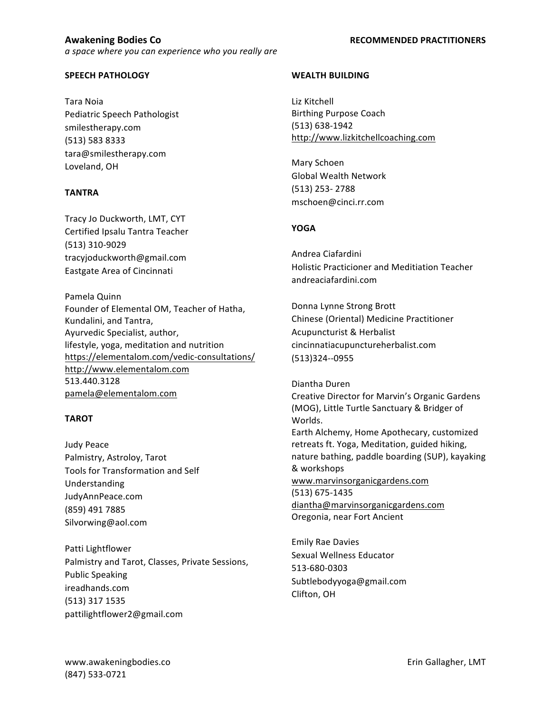## **SPEECH PATHOLOGY**

Tara Noia Pediatric Speech Pathologist smilestherapy.com (513) 583 8333 tara@smilestherapy.com Loveland, OH

## **TANTRA**

Tracy Jo Duckworth, LMT, CYT Certified Ipsalu Tantra Teacher (513) 310-9029 tracyjoduckworth@gmail.com Eastgate Area of Cincinnati

Pamela Quinn Founder of Elemental OM, Teacher of Hatha, Kundalini, and Tantra, Ayurvedic Specialist, author, lifestyle, yoga, meditation and nutrition https://elementalom.com/vedic-consultations/ http://www.elementalom.com 513.440.3128 pamela@elementalom.com

# **TAROT**

Judy Peace Palmistry, Astroloy, Tarot Tools for Transformation and Self Understanding JudyAnnPeace.com (859) 491 7885 Silvorwing@aol.com

Patti Lightflower Palmistry and Tarot, Classes, Private Sessions, Public Speaking ireadhands.com (513) 317 1535 pattilightflower2@gmail.com

## **WEALTH BUILDING**

Liz Kitchell **Birthing Purpose Coach** (513) 638-1942 http://www.lizkitchellcoaching.com

Mary Schoen Global Wealth Network (513) 253- 2788 mschoen@cinci.rr.com

# **YOGA**

Andrea Ciafardini Holistic Practicioner and Meditiation Teacher andreaciafardini.com

Donna Lynne Strong Brott Chinese (Oriental) Medicine Practitioner Acupuncturist & Herbalist cincinnatiacupunctureherbalist.com (513)324--0955

Diantha Duren Creative Director for Marvin's Organic Gardens (MOG), Little Turtle Sanctuary & Bridger of Worlds. Earth Alchemy, Home Apothecary, customized retreats ft. Yoga, Meditation, guided hiking, nature bathing, paddle boarding (SUP), kayaking & workshops www.marvinsorganicgardens.com (513) 675-1435 diantha@marvinsorganicgardens.com Oregonia, near Fort Ancient

Emily Rae Davies Sexual Wellness Educator 513-680-0303 Subtlebodyyoga@gmail.com Clifton, OH